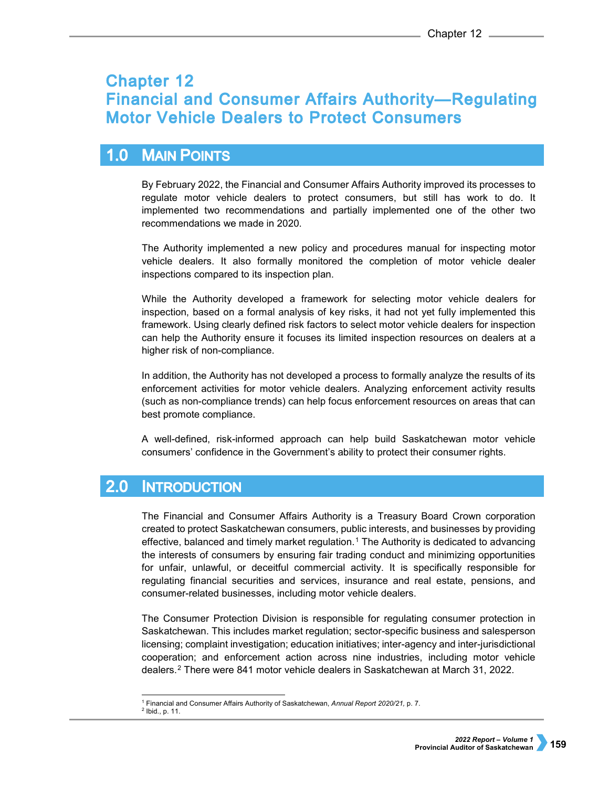# **Chapter 12 Financial and Consumer Affairs Authority-Regulating Motor Vehicle Dealers to Protect Consumers**

#### $1.0$ **MAIN POINTS**

By February 2022, the Financial and Consumer Affairs Authority improved its processes to regulate motor vehicle dealers to protect consumers, but still has work to do. It implemented two recommendations and partially implemented one of the other two recommendations we made in 2020.

The Authority implemented a new policy and procedures manual for inspecting motor vehicle dealers. It also formally monitored the completion of motor vehicle dealer inspections compared to its inspection plan.

While the Authority developed a framework for selecting motor vehicle dealers for inspection, based on a formal analysis of key risks, it had not yet fully implemented this framework. Using clearly defined risk factors to select motor vehicle dealers for inspection can help the Authority ensure it focuses its limited inspection resources on dealers at a higher risk of non-compliance.

In addition, the Authority has not developed a process to formally analyze the results of its enforcement activities for motor vehicle dealers. Analyzing enforcement activity results (such as non-compliance trends) can help focus enforcement resources on areas that can best promote compliance.

A well-defined, risk-informed approach can help build Saskatchewan motor vehicle consumers' confidence in the Government's ability to protect their consumer rights.

#### $2.0$ **INTRODUCTION**

The Financial and Consumer Affairs Authority is a Treasury Board Crown corporation created to protect Saskatchewan consumers, public interests, and businesses by providing effective, balanced and timely market regulation.<sup>[1](#page-0-0)</sup> The Authority is dedicated to advancing the interests of consumers by ensuring fair trading conduct and minimizing opportunities for unfair, unlawful, or deceitful commercial activity. It is specifically responsible for regulating financial securities and services, insurance and real estate, pensions, and consumer-related businesses, including motor vehicle dealers.

The Consumer Protection Division is responsible for regulating consumer protection in Saskatchewan. This includes market regulation; sector-specific business and salesperson licensing; complaint investigation; education initiatives; inter-agency and inter-jurisdictional cooperation; and enforcement action across nine industries, including motor vehicle dealers.[2](#page-0-1) There were 841 motor vehicle dealers in Saskatchewan at March 31, 2022.

j <sup>1</sup> Financial and Consumer Affairs Authority of Saskatchewan, *Annual Report 2020/21,* p. 7.<br><sup>2</sup> Ibid., p. 11.

<span id="page-0-1"></span><span id="page-0-0"></span>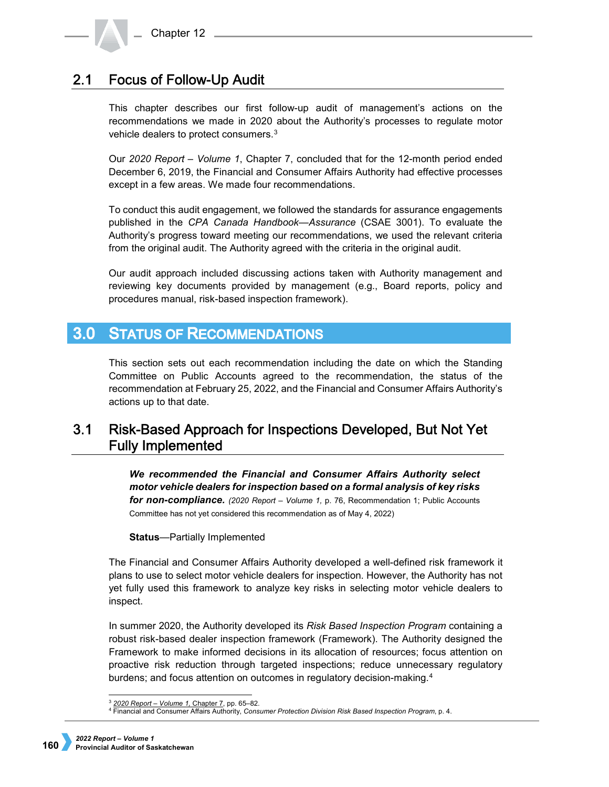#### **Focus of Follow-Up Audit**  $2.1$

This chapter describes our first follow-up audit of management's actions on the recommendations we made in 2020 about the Authority's processes to regulate motor vehicle dealers to protect consumers.[3](#page-1-0)

Our *2020 Report – Volume 1*, Chapter 7, concluded that for the 12-month period ended December 6, 2019, the Financial and Consumer Affairs Authority had effective processes except in a few areas. We made four recommendations.

To conduct this audit engagement, we followed the standards for assurance engagements published in the *CPA Canada Handbook—Assurance* (CSAE 3001). To evaluate the Authority's progress toward meeting our recommendations, we used the relevant criteria from the original audit. The Authority agreed with the criteria in the original audit.

Our audit approach included discussing actions taken with Authority management and reviewing key documents provided by management (e.g., Board reports, policy and procedures manual, risk-based inspection framework).

## **3.0 STATUS OF RECOMMENDATIONS**

This section sets out each recommendation including the date on which the Standing Committee on Public Accounts agreed to the recommendation, the status of the recommendation at February 25, 2022, and the Financial and Consumer Affairs Authority's actions up to that date.

## $3.1$ Risk-Based Approach for Inspections Developed, But Not Yet **Fully Implemented**

*We recommended the Financial and Consumer Affairs Authority select motor vehicle dealers for inspection based on a formal analysis of key risks for non-compliance. (2020 Report – Volume 1,* p. 76, Recommendation 1; Public Accounts Committee has not yet considered this recommendation as of May 4, 2022)

**Status**—Partially Implemented

The Financial and Consumer Affairs Authority developed a well-defined risk framework it plans to use to select motor vehicle dealers for inspection. However, the Authority has not yet fully used this framework to analyze key risks in selecting motor vehicle dealers to inspect.

In summer 2020, the Authority developed its *Risk Based Inspection Program* containing a robust risk-based dealer inspection framework (Framework). The Authority designed the Framework to make informed decisions in its allocation of resources; focus attention on proactive risk reduction through targeted inspections; reduce unnecessary regulatory burdens; and focus attention on outcomes in regulatory decision-making.[4](#page-1-1)

 <sup>3</sup> *[2020 Report – Volume 1,](https://auditor.sk.ca/pub/publications/public_reports/2020/Volume_1/CH%2007%20-%20Financial%20and%20Consumer%20Affairs%20Authority%E2%80%94Regulating%20Vehicle%20Dealers%20to%20Protect%20Consumers.pdf)* Chapter 7, pp. 65–82.

<span id="page-1-1"></span><span id="page-1-0"></span><sup>4</sup> Financial and Consumer Affairs Authority, *Consumer Protection Division Risk Based Inspection Program*, p. 4.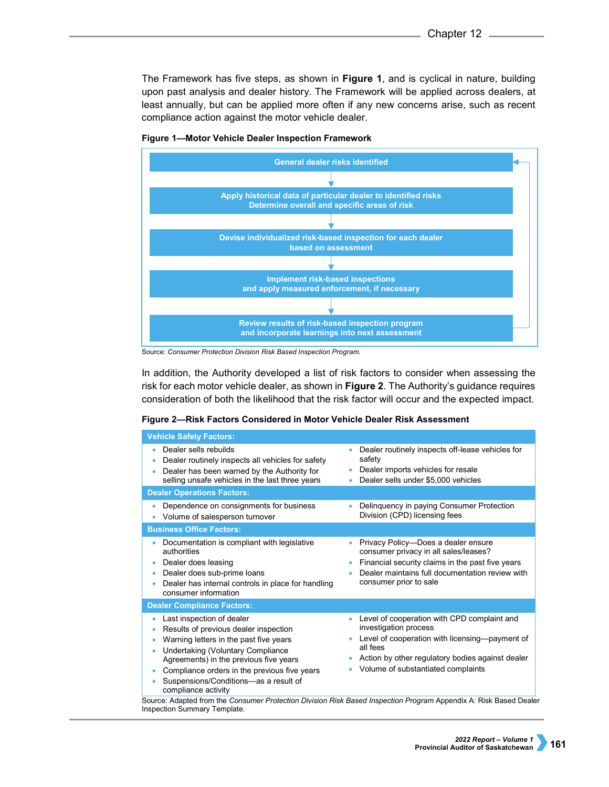The Framework has five steps, as shown in **Figure 1**, and is cyclical in nature, building upon past analysis and dealer history. The Framework will be applied across dealers, at least annually, but can be applied more often if any new concerns arise, such as recent compliance action against the motor vehicle dealer.



### **Figure 1—Motor Vehicle Dealer Inspection Framework**

In addition, the Authority developed a list of risk factors to consider when assessing the risk for each motor vehicle dealer, as shown in **Figure 2**. The Authority's guidance requires consideration of both the likelihood that the risk factor will occur and the expected impact.

| <b>Vehicle Safety Factors:</b>                                                                                                                                                                                                                                                                              |                                                                                                                                                                                                                                                |
|-------------------------------------------------------------------------------------------------------------------------------------------------------------------------------------------------------------------------------------------------------------------------------------------------------------|------------------------------------------------------------------------------------------------------------------------------------------------------------------------------------------------------------------------------------------------|
| Dealer sells rebuilds<br>Dealer routinely inspects all vehicles for safety<br>Dealer has been warned by the Authority for<br>selling unsafe vehicles in the last three years                                                                                                                                | Dealer routinely inspects off-lease vehicles for<br>$\bullet$<br>safety<br>Dealer imports vehicles for resale<br>۰<br>Dealer sells under \$5,000 vehicles                                                                                      |
| <b>Dealer Operations Factors:</b>                                                                                                                                                                                                                                                                           |                                                                                                                                                                                                                                                |
| Dependence on consignments for business<br>Volume of salesperson turnover                                                                                                                                                                                                                                   | Delinquency in paying Consumer Protection<br>۰<br>Division (CPD) licensing fees                                                                                                                                                                |
| <b>Business Office Factors:</b>                                                                                                                                                                                                                                                                             |                                                                                                                                                                                                                                                |
| Documentation is compliant with legislative<br>authorities<br>Dealer does leasing<br>Dealer does sub-prime loans<br>Dealer has internal controls in place for handling<br>consumer information                                                                                                              | Privacy Policy-Does a dealer ensure<br>٠<br>consumer privacy in all sales/leases?<br>Financial security claims in the past five years<br>$\bullet$<br>Dealer maintains full documentation review with<br>consumer prior to sale                |
| <b>Dealer Compliance Factors:</b>                                                                                                                                                                                                                                                                           |                                                                                                                                                                                                                                                |
| Last inspection of dealer<br>Results of previous dealer inspection<br>Warning letters in the past five years<br>Undertaking (Voluntary Compliance<br>Agreements) in the previous five years<br>Compliance orders in the previous five years<br>Suspensions/Conditions-as a result of<br>compliance activity | Level of cooperation with CPD complaint and<br>$\bullet$<br>investigation process<br>Level of cooperation with licensing-payment of<br>۰<br>all fees<br>Action by other regulatory bodies against dealer<br>Volume of substantiated complaints |
| Source: Adapted from the Consumer Protection Division Risk Based Inspection Program Appendix A: Risk Based Deale                                                                                                                                                                                            |                                                                                                                                                                                                                                                |

Source: Adapted from the *Consumer Protection Division Risk Based Inspection Program* Appendix A: Risk Based Dealer Inspection Summary Template.

Source: *Consumer Protection Division Risk Based Inspection Program.*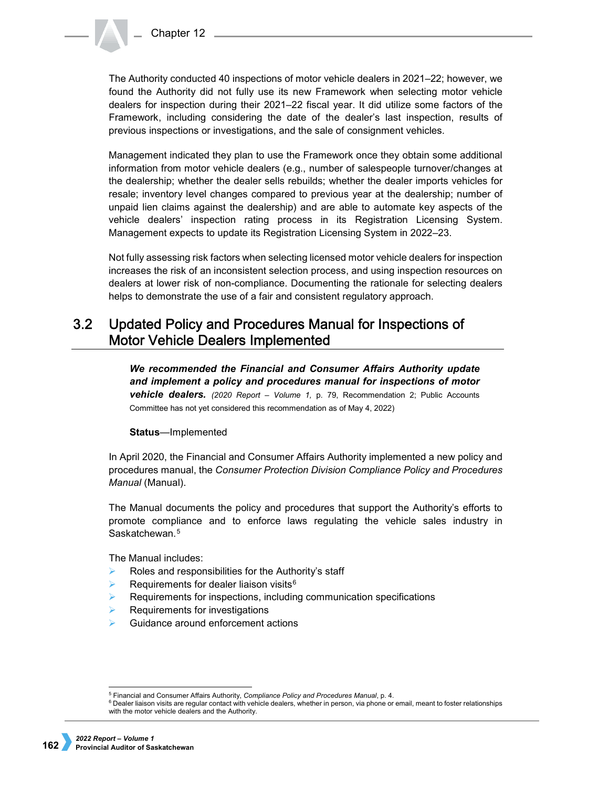The Authority conducted 40 inspections of motor vehicle dealers in 2021–22; however, we found the Authority did not fully use its new Framework when selecting motor vehicle dealers for inspection during their 2021–22 fiscal year. It did utilize some factors of the Framework, including considering the date of the dealer's last inspection, results of previous inspections or investigations, and the sale of consignment vehicles.

Management indicated they plan to use the Framework once they obtain some additional information from motor vehicle dealers (e.g., number of salespeople turnover/changes at the dealership; whether the dealer sells rebuilds; whether the dealer imports vehicles for resale; inventory level changes compared to previous year at the dealership; number of unpaid lien claims against the dealership) and are able to automate key aspects of the vehicle dealers' inspection rating process in its Registration Licensing System. Management expects to update its Registration Licensing System in 2022–23.

Not fully assessing risk factors when selecting licensed motor vehicle dealers for inspection increases the risk of an inconsistent selection process, and using inspection resources on dealers at lower risk of non-compliance. Documenting the rationale for selecting dealers helps to demonstrate the use of a fair and consistent regulatory approach.

### $3.2$ Updated Policy and Procedures Manual for Inspections of **Motor Vehicle Dealers Implemented**

*We recommended the Financial and Consumer Affairs Authority update and implement a policy and procedures manual for inspections of motor vehicle dealers. (2020 Report – Volume 1,* p. 79, Recommendation 2; Public Accounts Committee has not yet considered this recommendation as of May 4, 2022)

## **Status**—Implemented

In April 2020, the Financial and Consumer Affairs Authority implemented a new policy and procedures manual, the *Consumer Protection Division Compliance Policy and Procedures Manual* (Manual).

The Manual documents the policy and procedures that support the Authority's efforts to promote compliance and to enforce laws regulating the vehicle sales industry in Saskatchewan.<sup>[5](#page-3-0)</sup>

The Manual includes:

- $\triangleright$  Roles and responsibilities for the Authority's staff
- Requirements for dealer liaison visits<sup>[6](#page-3-1)</sup>
- $\triangleright$  Requirements for inspections, including communication specifications
- Requirements for investigations
- Guidance around enforcement actions

<sup>&</sup>lt;sup>5</sup> Financial and Consumer Affairs Authority, Compliance Policy and Procedures Manual, p. 4.

<span id="page-3-1"></span><span id="page-3-0"></span><sup>&</sup>lt;sup>6</sup> Dealer liaison visits are regular contact with vehicle dealers, whether in person, via phone or email, meant to foster relationships with the motor vehicle dealers and the Authority.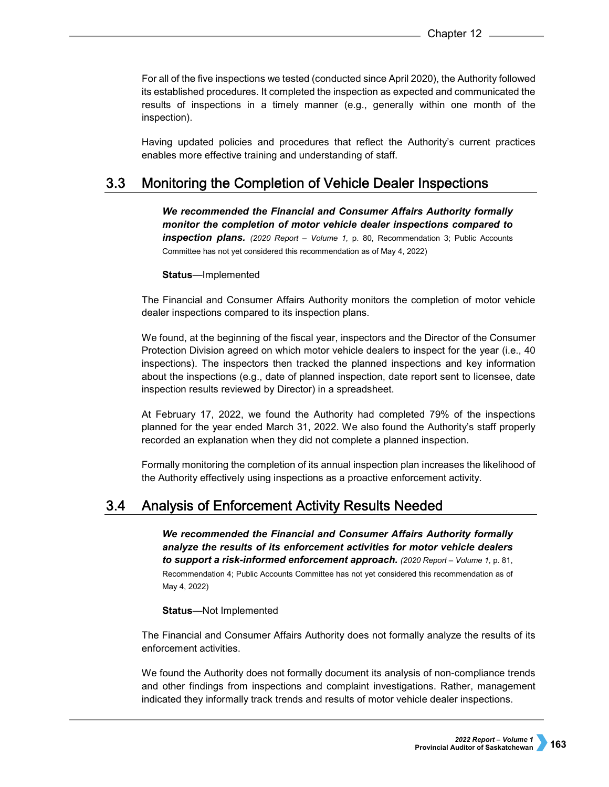For all of the five inspections we tested (conducted since April 2020), the Authority followed its established procedures. It completed the inspection as expected and communicated the results of inspections in a timely manner (e.g., generally within one month of the inspection).

Having updated policies and procedures that reflect the Authority's current practices enables more effective training and understanding of staff.

#### $3.3$ Monitoring the Completion of Vehicle Dealer Inspections

*We recommended the Financial and Consumer Affairs Authority formally monitor the completion of motor vehicle dealer inspections compared to inspection plans.* (2020 Report – Volume 1, p. 80, Recommendation 3; Public Accounts Committee has not yet considered this recommendation as of May 4, 2022)

## **Status**—Implemented

The Financial and Consumer Affairs Authority monitors the completion of motor vehicle dealer inspections compared to its inspection plans.

We found, at the beginning of the fiscal year, inspectors and the Director of the Consumer Protection Division agreed on which motor vehicle dealers to inspect for the year (i.e., 40 inspections). The inspectors then tracked the planned inspections and key information about the inspections (e.g., date of planned inspection, date report sent to licensee, date inspection results reviewed by Director) in a spreadsheet.

At February 17, 2022, we found the Authority had completed 79% of the inspections planned for the year ended March 31, 2022. We also found the Authority's staff properly recorded an explanation when they did not complete a planned inspection.

Formally monitoring the completion of its annual inspection plan increases the likelihood of the Authority effectively using inspections as a proactive enforcement activity.

#### **Analysis of Enforcement Activity Results Needed**  $3.4$

*We recommended the Financial and Consumer Affairs Authority formally analyze the results of its enforcement activities for motor vehicle dealers to support a risk-informed enforcement approach. (2020 Report – Volume 1,* p. 81, Recommendation 4; Public Accounts Committee has not yet considered this recommendation as of May 4, 2022)

## **Status**—Not Implemented

The Financial and Consumer Affairs Authority does not formally analyze the results of its enforcement activities.

We found the Authority does not formally document its analysis of non-compliance trends and other findings from inspections and complaint investigations. Rather, management indicated they informally track trends and results of motor vehicle dealer inspections.